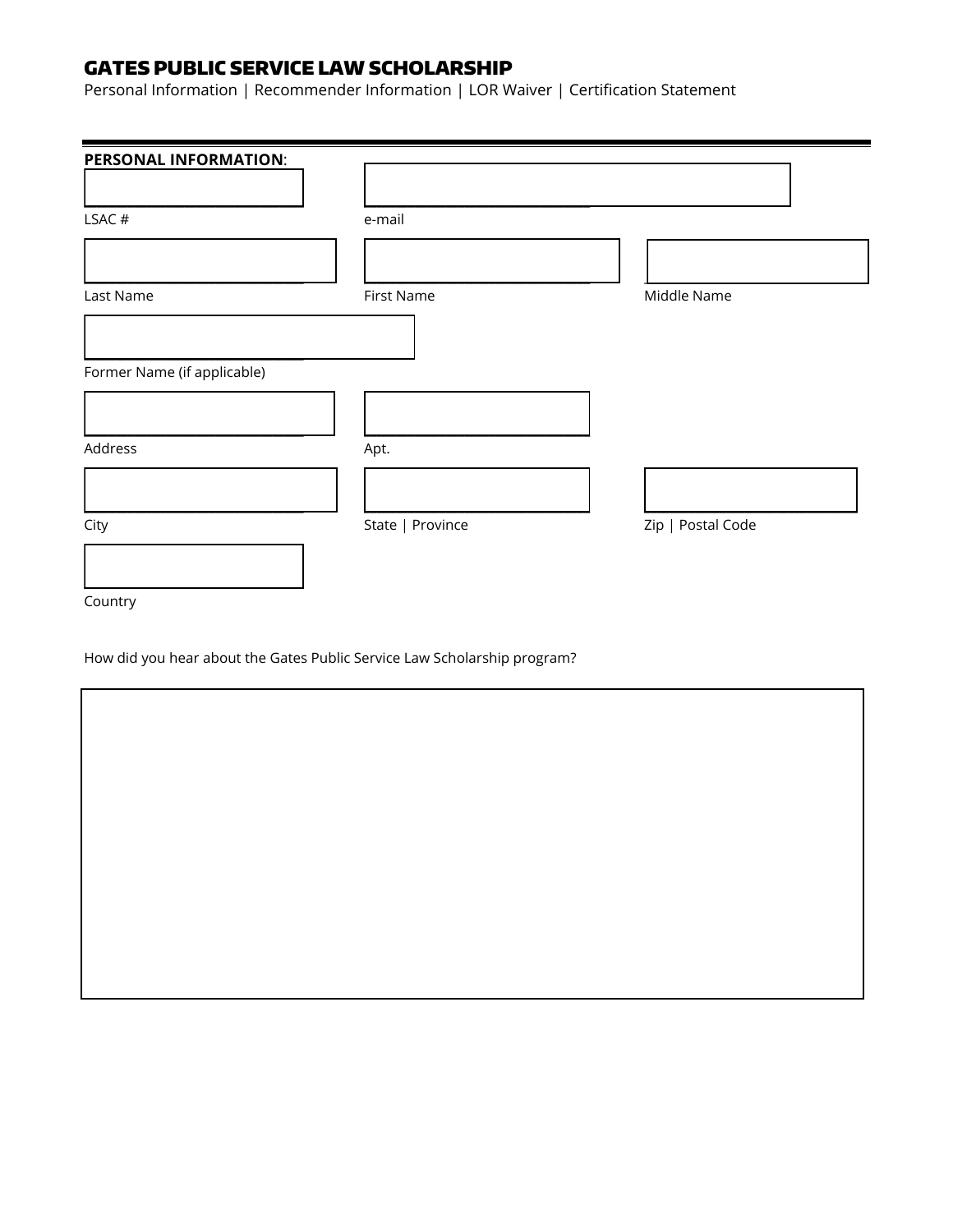# GATES PUBLIC SERVICE LAW SCHOLARSHIP

Personal Information | Recommender Information | LOR Waiver | Certification Statement

| <b>PERSONAL INFORMATION:</b> |                  |                   |
|------------------------------|------------------|-------------------|
|                              |                  |                   |
| LSAC#                        | e-mail           |                   |
|                              |                  |                   |
| Last Name                    | First Name       | Middle Name       |
|                              |                  |                   |
| Former Name (if applicable)  |                  |                   |
|                              |                  |                   |
| Address                      | Apt.             |                   |
|                              |                  |                   |
| City                         | State   Province | Zip   Postal Code |
|                              |                  |                   |
| Country                      |                  |                   |

How did you hear about the Gates Public Service Law Scholarship program?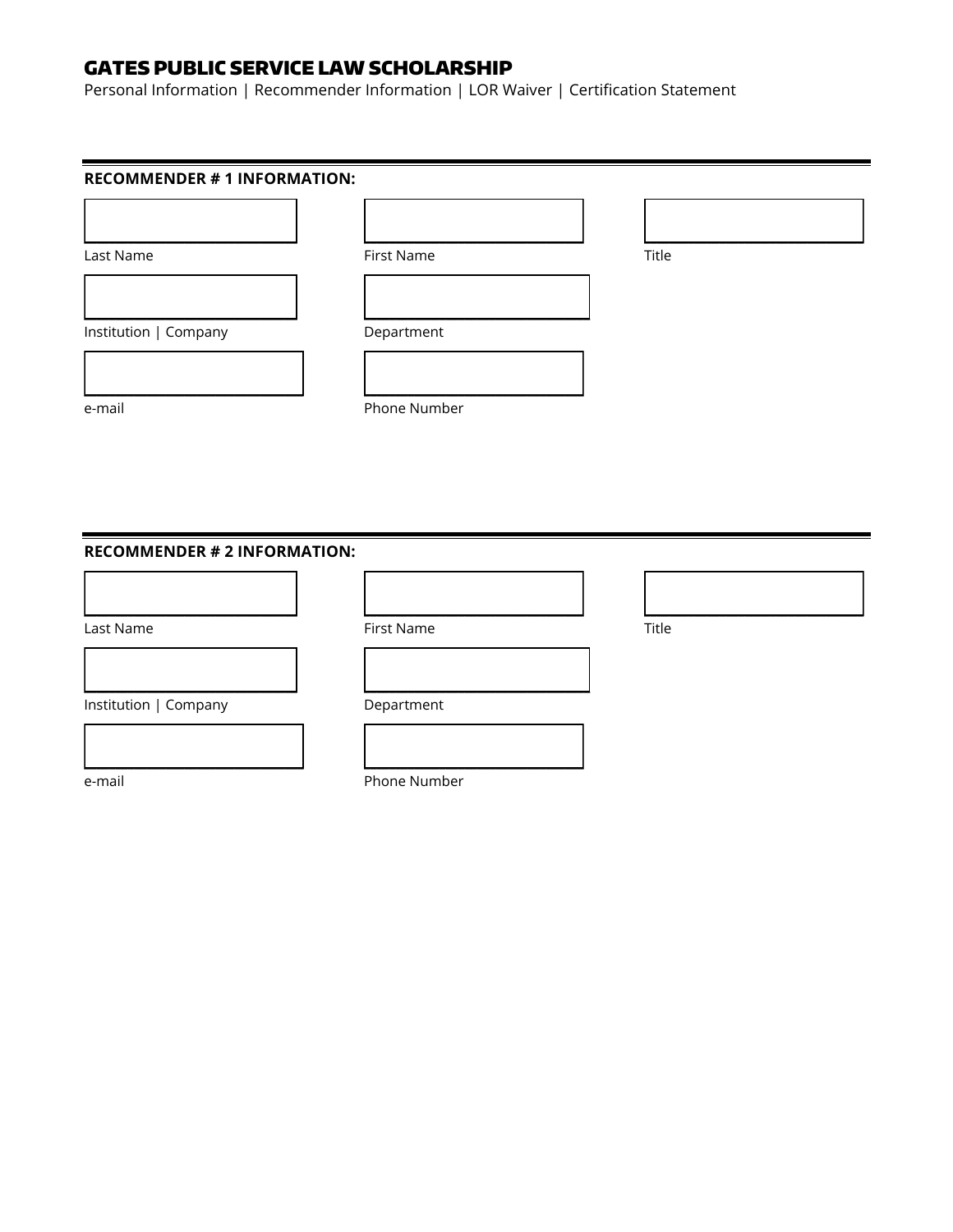# GATES PUBLIC SERVICE LAW SCHOLARSHIP

Personal Information | Recommender Information | LOR Waiver | Certification Statement

| <b>RECOMMENDER # 1 INFORMATION:</b> |              |       |  |  |  |  |
|-------------------------------------|--------------|-------|--|--|--|--|
|                                     |              |       |  |  |  |  |
| Last Name                           | First Name   | Title |  |  |  |  |
| Institution   Company               | Department   |       |  |  |  |  |
|                                     |              |       |  |  |  |  |
| e-mail                              | Phone Number |       |  |  |  |  |
|                                     |              |       |  |  |  |  |
|                                     |              |       |  |  |  |  |
| <b>RECOMMENDER # 2 INFORMATION:</b> |              |       |  |  |  |  |
|                                     |              |       |  |  |  |  |
| Last Name                           | First Name   | Title |  |  |  |  |
|                                     |              |       |  |  |  |  |
| Institution   Company               | Department   |       |  |  |  |  |
|                                     |              |       |  |  |  |  |

e-mail Phone Number

\_\_\_\_\_\_\_\_\_\_\_\_\_\_\_\_\_\_\_\_\_\_\_\_\_\_\_\_\_\_\_\_\_\_\_ \_\_\_\_\_\_\_\_\_\_\_\_\_\_\_\_\_\_\_\_\_\_\_\_\_\_\_\_\_\_\_\_\_\_\_